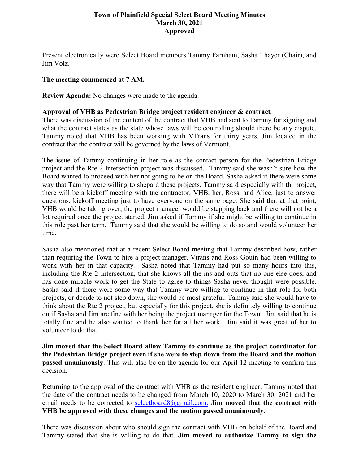# **Town of Plainfield Special Select Board Meeting Minutes March 30, 2021 Approved**

Present electronically were Select Board members Tammy Farnham, Sasha Thayer (Chair), and Jim Volz.

## **The meeting commenced at 7 AM.**

**Review Agenda:** No changes were made to the agenda.

### **Approval of VHB as Pedestrian Bridge project resident engineer & contract**;

There was discussion of the content of the contract that VHB had sent to Tammy for signing and what the contract states as the state whose laws will be controlling should there be any dispute. Tammy noted that VHB has been working with VTrans for thirty years. Jim located in the contract that the contract will be governed by the laws of Vermont.

The issue of Tammy continuing in her role as the contact person for the Pedestrian Bridge project and the Rte 2 Intersection project was discussed. Tammy said she wasn't sure how the Board wanted to proceed with her not going to be on the Board. Sasha asked if there were some way that Tammy were willing to shepard these projects. Tammy said especially with thi project, there will be a kickoff meeting with tne contractor, VHB, her, Ross, and Alice, just to answer questions, kickoff meeting just to have everyone on the same page. She said that at that point, VHB would be taking over, the project manager would be stepping back and there will not be a lot required once the project started. Jim asked if Tammy if she might be willing to continue in this role past her term. Tammy said that she would be willing to do so and would volunteer her time.

Sasha also mentioned that at a recent Select Board meeting that Tammy described how, rather than requiring the Town to hire a project manager, Vtrans and Ross Gouin had been willing to work with her in that capacity. Sasha noted that Tammy had put so many hours into this, including the Rte 2 Intersection, that she knows all the ins and outs that no one else does, and has done miracle work to get the State to agree to things Sasha never thought were possible. Sasha said if there were some way that Tammy were willing to continue in that role for both projects, or decide to not step down, she would be most grateful. Tammy said she would have to think about the Rte 2 project, but especially for this project, she is definitely willing to continue on if Sasha and Jim are fine with her being the project manager for the Town.. Jim said that he is totally fine and he also wanted to thank her for all her work. Jim said it was great of her to volunteer to do that.

**Jim moved that the Select Board allow Tammy to continue as the project coordinator for the Pedestrian Bridge project even if she were to step down from the Board and the motion passed unanimously**. This will also be on the agenda for our April 12 meeting to confirm this decision.

Returning to the approval of the contract with VHB as the resident engineer, Tammy noted that the date of the contract needs to be changed from March 10, 2020 to March 30, 2021 and her email needs to be corrected to [selectboard8@gmail.com.](mailto:selectboard8@gmail.com.) **Jim moved that the contract with VHB be approved with these changes and the motion passed unanimously.** 

There was discussion about who should sign the contract with VHB on behalf of the Board and Tammy stated that she is willing to do that. **Jim moved to authorize Tammy to sign the**